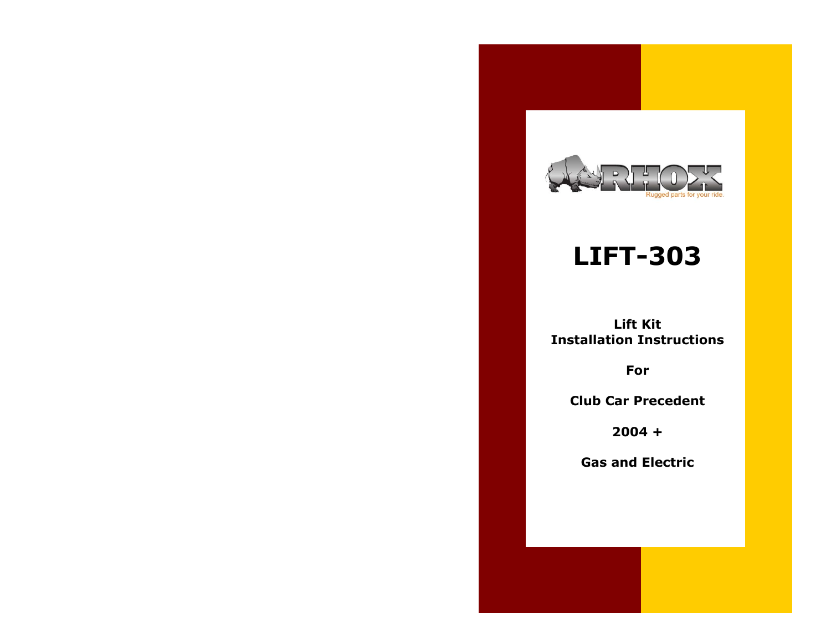

## **LIFT-303**

**Lift Kit Installation Instructions**

**For**

**Club Car Precedent** 

**2004 +**

**Gas and Electric**